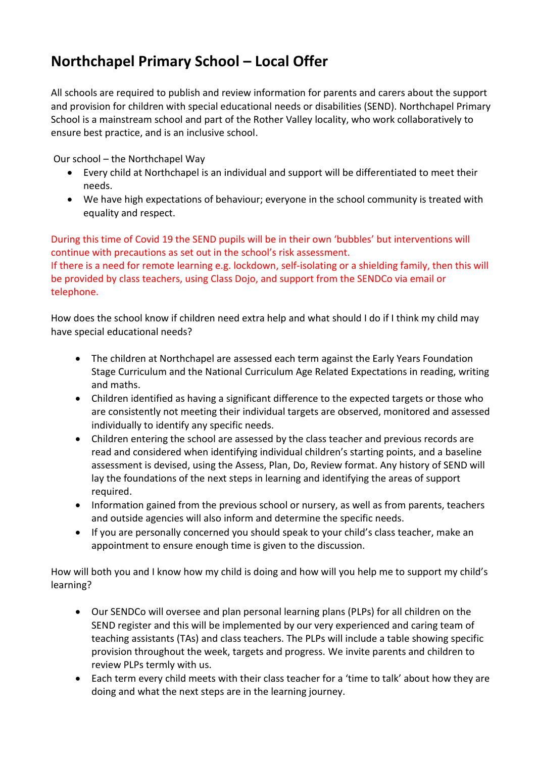## **Northchapel Primary School – Local Offer**

All schools are required to publish and review information for parents and carers about the support and provision for children with special educational needs or disabilities (SEND). Northchapel Primary School is a mainstream school and part of the Rother Valley locality, who work collaboratively to ensure best practice, and is an inclusive school.

Our school – the Northchapel Way

- Every child at Northchapel is an individual and support will be differentiated to meet their needs.
- We have high expectations of behaviour; everyone in the school community is treated with equality and respect.

During this time of Covid 19 the SEND pupils will be in their own 'bubbles' but interventions will continue with precautions as set out in the school's risk assessment. If there is a need for remote learning e.g. lockdown, self-isolating or a shielding family, then this will be provided by class teachers, using Class Dojo, and support from the SENDCo via email or telephone.

How does the school know if children need extra help and what should I do if I think my child may have special educational needs?

- The children at Northchapel are assessed each term against the Early Years Foundation Stage Curriculum and the National Curriculum Age Related Expectations in reading, writing and maths.
- Children identified as having a significant difference to the expected targets or those who are consistently not meeting their individual targets are observed, monitored and assessed individually to identify any specific needs.
- Children entering the school are assessed by the class teacher and previous records are read and considered when identifying individual children's starting points, and a baseline assessment is devised, using the Assess, Plan, Do, Review format. Any history of SEND will lay the foundations of the next steps in learning and identifying the areas of support required.
- Information gained from the previous school or nursery, as well as from parents, teachers and outside agencies will also inform and determine the specific needs.
- If you are personally concerned you should speak to your child's class teacher, make an appointment to ensure enough time is given to the discussion.

How will both you and I know how my child is doing and how will you help me to support my child's learning?

- Our SENDCo will oversee and plan personal learning plans (PLPs) for all children on the SEND register and this will be implemented by our very experienced and caring team of teaching assistants (TAs) and class teachers. The PLPs will include a table showing specific provision throughout the week, targets and progress. We invite parents and children to review PLPs termly with us.
- Each term every child meets with their class teacher for a 'time to talk' about how they are doing and what the next steps are in the learning journey.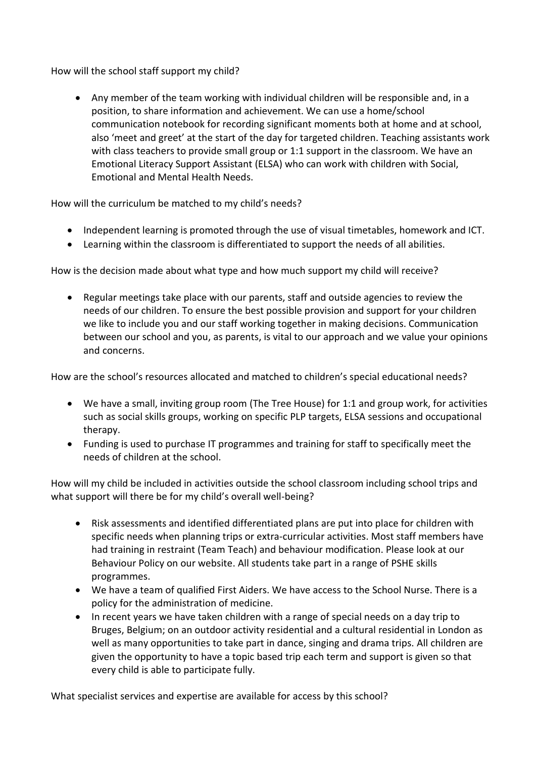How will the school staff support my child?

• Any member of the team working with individual children will be responsible and, in a position, to share information and achievement. We can use a home/school communication notebook for recording significant moments both at home and at school, also 'meet and greet' at the start of the day for targeted children. Teaching assistants work with class teachers to provide small group or 1:1 support in the classroom. We have an Emotional Literacy Support Assistant (ELSA) who can work with children with Social, Emotional and Mental Health Needs.

How will the curriculum be matched to my child's needs?

- Independent learning is promoted through the use of visual timetables, homework and ICT.
- Learning within the classroom is differentiated to support the needs of all abilities.

How is the decision made about what type and how much support my child will receive?

• Regular meetings take place with our parents, staff and outside agencies to review the needs of our children. To ensure the best possible provision and support for your children we like to include you and our staff working together in making decisions. Communication between our school and you, as parents, is vital to our approach and we value your opinions and concerns.

How are the school's resources allocated and matched to children's special educational needs?

- We have a small, inviting group room (The Tree House) for 1:1 and group work, for activities such as social skills groups, working on specific PLP targets, ELSA sessions and occupational therapy.
- Funding is used to purchase IT programmes and training for staff to specifically meet the needs of children at the school.

How will my child be included in activities outside the school classroom including school trips and what support will there be for my child's overall well-being?

- Risk assessments and identified differentiated plans are put into place for children with specific needs when planning trips or extra-curricular activities. Most staff members have had training in restraint (Team Teach) and behaviour modification. Please look at our Behaviour Policy on our website. All students take part in a range of PSHE skills programmes.
- We have a team of qualified First Aiders. We have access to the School Nurse. There is a policy for the administration of medicine.
- In recent years we have taken children with a range of special needs on a day trip to Bruges, Belgium; on an outdoor activity residential and a cultural residential in London as well as many opportunities to take part in dance, singing and drama trips. All children are given the opportunity to have a topic based trip each term and support is given so that every child is able to participate fully.

What specialist services and expertise are available for access by this school?